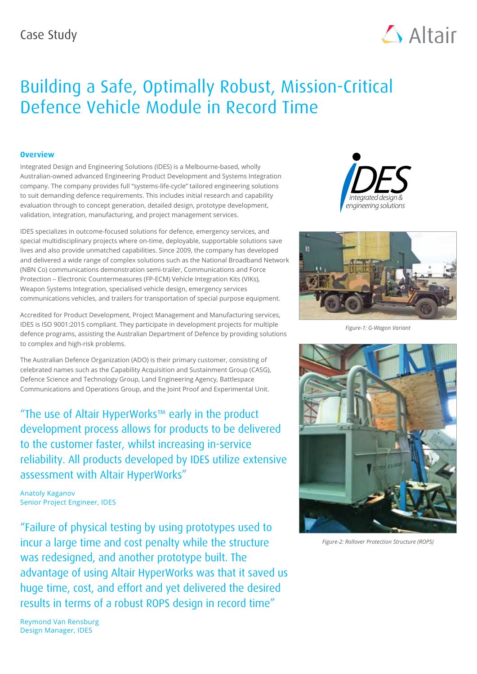

# Building a Safe, Optimally Robust, Mission-Critical Defence Vehicle Module in Record Time

### **Overview**

Integrated Design and Engineering Solutions (IDES) is a Melbourne-based, wholly Australian-owned advanced Engineering Product Development and Systems Integration company. The company provides full "systems-life-cycle" tailored engineering solutions to suit demanding defence requirements. This includes initial research and capability evaluation through to concept generation, detailed design, prototype development, validation, integration, manufacturing, and project management services.

IDES specializes in outcome-focused solutions for defence, emergency services, and special multidisciplinary projects where on-time, deployable, supportable solutions save lives and also provide unmatched capabilities. Since 2009, the company has developed and delivered a wide range of complex solutions such as the National Broadband Network (NBN Co) communications demonstration semi-trailer, Communications and Force Protection – Electronic Countermeasures (FP-ECM) Vehicle Integration Kits (VIKs), Weapon Systems Integration, specialised vehicle design, emergency services communications vehicles, and trailers for transportation of special purpose equipment.

Accredited for Product Development, Project Management and Manufacturing services, IDES is ISO 9001:2015 compliant. They participate in development projects for multiple defence programs, assisting the Australian Department of Defence by providing solutions to complex and high-risk problems.

The Australian Defence Organization (ADO) is their primary customer, consisting of celebrated names such as the Capability Acquisition and Sustainment Group (CASG), Defence Science and Technology Group, Land Engineering Agency, Battlespace Communications and Operations Group, and the Joint Proof and Experimental Unit.

"The use of Altair HyperWorks™ early in the product development process allows for products to be delivered to the customer faster, whilst increasing in-service reliability. All products developed by IDES utilize extensive assessment with Altair HyperWorks"

Anatoly Kaganov Senior Project Engineer, IDES

"Failure of physical testing by using prototypes used to incur a large time and cost penalty while the structure was redesigned, and another prototype built. The advantage of using Altair HyperWorks was that it saved us huge time, cost, and effort and yet delivered the desired results in terms of a robust ROPS design in record time"





*Figure-1: G-Wagon Variant*



*Figure-2: Rollover Protection Structure (ROPS)*